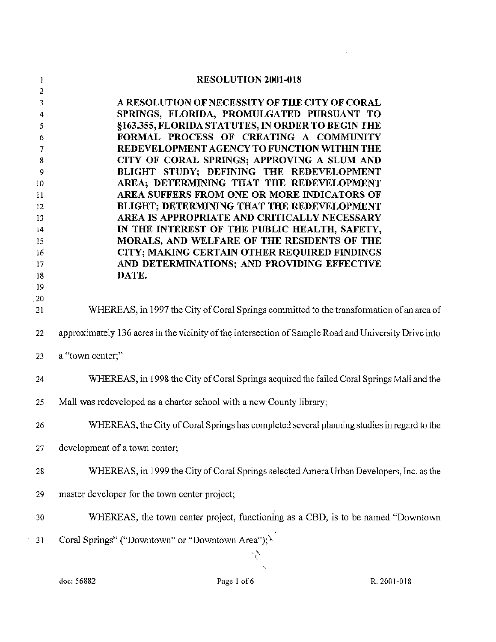| 1          | <b>RESOLUTION 2001-018</b>                                                                           |
|------------|------------------------------------------------------------------------------------------------------|
| 2          |                                                                                                      |
| 3          | A RESOLUTION OF NECESSITY OF THE CITY OF CORAL                                                       |
| 4          | SPRINGS, FLORIDA, PROMULGATED PURSUANT TO                                                            |
| 5          | §163.355, FLORIDA STATUTES, IN ORDER TO BEGIN THE                                                    |
| 6          | FORMAL PROCESS OF CREATING A COMMUNITY                                                               |
| 7          | REDEVELOPMENT AGENCY TO FUNCTION WITHIN THE                                                          |
| 8          | CITY OF CORAL SPRINGS; APPROVING A SLUM AND                                                          |
| 9          | BLIGHT STUDY; DEFINING THE REDEVELOPMENT                                                             |
| 10         | AREA; DETERMINING THAT THE REDEVELOPMENT                                                             |
| $_{\rm H}$ | AREA SUFFERS FROM ONE OR MORE INDICATORS OF                                                          |
| 12         | BLIGHT; DETERMINING THAT THE REDEVELOPMENT                                                           |
| 13         | AREA IS APPROPRIATE AND CRITICALLY NECESSARY                                                         |
| 14         | IN THE INTEREST OF THE PUBLIC HEALTH, SAFETY,<br>MORALS, AND WELFARE OF THE RESIDENTS OF THE         |
| 15<br>16   | CITY; MAKING CERTAIN OTHER REQUIRED FINDINGS                                                         |
| 17         | AND DETERMINATIONS; AND PROVIDING EFFECTIVE                                                          |
| 18         | DATE.                                                                                                |
| 19         |                                                                                                      |
| .20        |                                                                                                      |
| 21         | WHEREAS, in 1997 the City of Coral Springs committed to the transformation of an area of             |
|            |                                                                                                      |
| 22         | approximately 136 acres in the vicinity of the intersection of Sample Road and University Drive into |
| 23         | a "town center;"                                                                                     |
| 24         | WHEREAS, in 1998 the City of Coral Springs acquired the failed Coral Springs Mall and the            |
| 25         | Mall was redeveloped as a charter school with a new County library;                                  |
|            |                                                                                                      |
| 26         | WHEREAS, the City of Coral Springs has completed several planning studies in regard to the           |
| 27         | development of a town center;                                                                        |
| 28         | WHEREAS, in 1999 the City of Coral Springs selected Amera Urban Developers, Inc. as the              |
| 29         | master developer for the town center project;                                                        |
| 30         | WHEREAS, the town center project, functioning as a CBD, is to be named "Downtown                     |
| 31         | Coral Springs" ("Downtown" or "Downtown Area"); \<br>سلمبيز                                          |

 $\sim 10$ 

 $\langle \cdot, \cdot \rangle$ 

 $\mathcal{L}^{\text{max}}_{\text{max}}$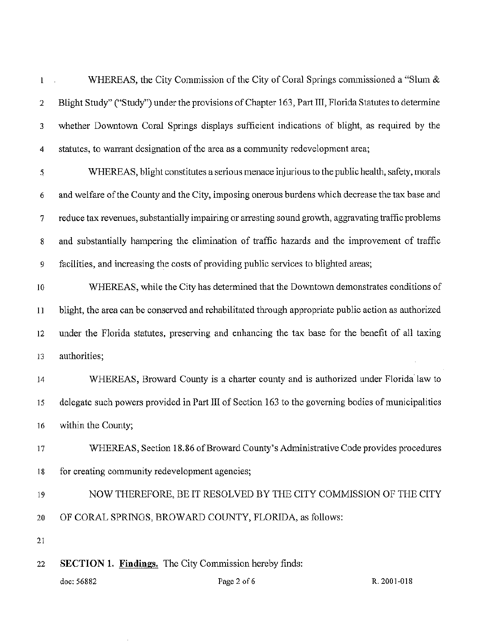WHEREAS, the City Commission of the City of Coral Springs commissioned a "Slum &  $\mathbf{l}$ Blight Study" ("Study") under the provisions of Chapter 163, Part III, Florida Statutes to determine 2 whether Downtown Coral Springs displays sufficient indications of blight, as required by the 3 statutes, to warrant designation of the area as a community redevelopment area; 4

5 6 7 8 9 WHEREAS, blight constitutes a serious menace injurious to the public health, safety, morals and welfare of the County and the City, imposing onerous burdens which decrease the tax base and reduce tax revenues, substantially impairing or arresting sound growth, aggravating traffic problems and substantially hampering the elimination of traffic hazards and the improvement of traffic facilities, and increasing the costs of providing public services to blighted areas;

IO I I 12 13 WHEREAS, while the City has determined that the Downtown demonstrates conditions of blight, the area can be conserved and rehabilitated through appropriate public action as authorized under the Florida statutes, preserving and enhancing the tax base for the benefit of all taxing authorities;

- 14 15 16 WHEREAS, Broward County is a charter county and is authorized under Florida law to delegate such powers provided in Part III of Section 163 to the governing bodies of municipalities within the County;
- 17 18 WHEREAS, Section 18.86 of Broward County's Administrative Code provides procedures for creating community redevelopment agencies;
- 19 20 NOW THEREFORE, BE IT RESOLVED BY THE CITY COMMISSION OF THE CITY OF CORAL SPRINGS, BROWARD COUNTY, FLORJDA, as follows:

21

22 **SECTION 1. Findings.** The City Commission hereby finds: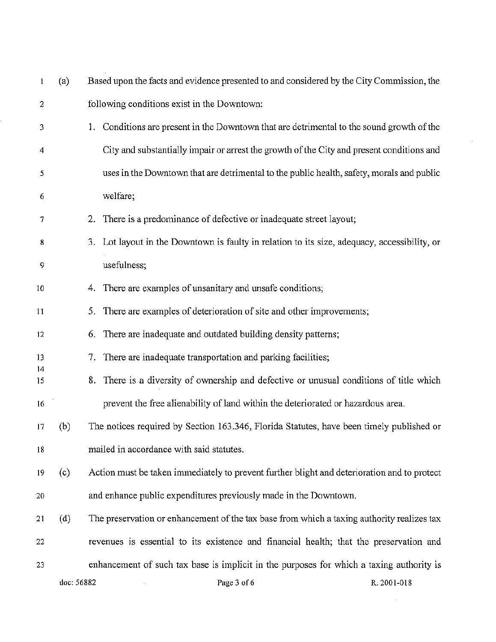| l              | (a)        | Based upon the facts and evidence presented to and considered by the City Commission, the |                                                                                             |             |
|----------------|------------|-------------------------------------------------------------------------------------------|---------------------------------------------------------------------------------------------|-------------|
| $\overline{c}$ |            |                                                                                           | following conditions exist in the Downtown:                                                 |             |
| 3              |            | Ι.                                                                                        | Conditions are present in the Downtown that are detrimental to the sound growth of the      |             |
| 4              |            |                                                                                           | City and substantially impair or arrest the growth of the City and present conditions and   |             |
| 5              |            |                                                                                           | uses in the Downtown that are detrimental to the public health, safety, morals and public   |             |
| 6              |            |                                                                                           | welfare;                                                                                    |             |
| 7              |            |                                                                                           | 2. There is a predominance of defective or inadequate street layout;                        |             |
| 8              |            | 3.                                                                                        | Lot layout in the Downtown is faulty in relation to its size, adequacy, accessibility, or   |             |
| 9              |            |                                                                                           | usefulness;                                                                                 |             |
| 10             |            | 4.                                                                                        | There are examples of unsanitary and unsafe conditions;                                     |             |
| $\overline{1}$ |            |                                                                                           | 5. There are examples of deterioration of site and other improvements;                      |             |
| 12             |            | 6.                                                                                        | There are inadequate and outdated building density patterns;                                |             |
| 13             |            | 7.                                                                                        | There are inadequate transportation and parking facilities;                                 |             |
| 14<br>15       |            | 8.                                                                                        | There is a diversity of ownership and defective or unusual conditions of title which        |             |
| 16             |            |                                                                                           | prevent the free alienability of land within the deteriorated or hazardous area.            |             |
| 17             | (b)        |                                                                                           | The notices required by Section 163.346, Florida Statutes, have been timely published or    |             |
| 18             |            |                                                                                           | mailed in accordance with said statutes.                                                    |             |
| 19             | (c)        |                                                                                           | Action must be taken immediately to prevent further blight and deterioration and to protect |             |
| 20             |            |                                                                                           | and enhance public expenditures previously made in the Downtown.                            |             |
| 21             | (d)        |                                                                                           | The preservation or enhancement of the tax base from which a taxing authority realizes tax  |             |
| 22             |            |                                                                                           | revenues is essential to its existence and financial health; that the preservation and      |             |
| 23             |            |                                                                                           | enhancement of such tax base is implicit in the purposes for which a taxing authority is    |             |
|                | doc: 56882 |                                                                                           | Page 3 of 6                                                                                 | R. 2001-018 |

 $\mathcal{L}^{\text{max}}_{\text{max}}$  ,  $\mathcal{L}^{\text{max}}_{\text{max}}$ 

i<br>S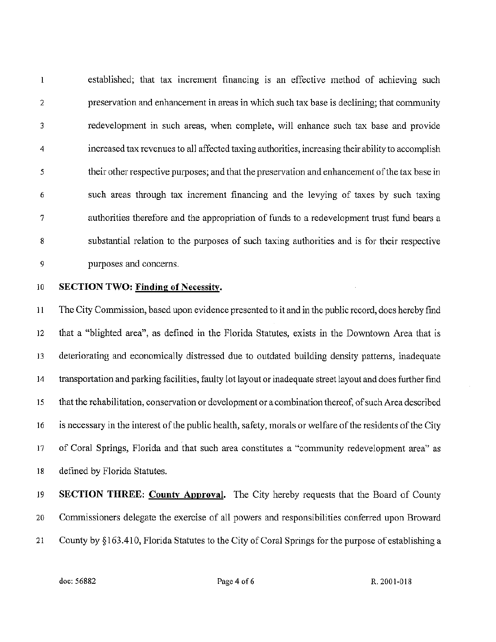$\mathbf{I}$ established; that tax increment financing is an effective method of achieving such preservation and enhancement in areas in which such tax base is declining; that community 2 redevelopment in such areas, when complete, will enhance such tax base and provide 3 4 increased tax revenues to all affected taxing authorities, increasing their ability to accomplish 5 their other respective purposes; and that the preservation and enhancement of the tax base in such areas through tax increment financing and the levying of taxes by such taxing 6 authorities therefore and the appropriation of funds to a redevelopment trust fund bears a 7 substantial relation to the purposes of such taxing authorities and is for their respective 8 purposes and concerns. 9

## 10 SECTION TWO: Finding of Necessity.

11 12 13 14 15 16 17 18 The City Commission, based upon evidence presented to it and in the public record, does hereby find that a "blighted area", as defined in the Florida Statutes, exists in the Downtown Area that is deteriorating and economically distressed due to outdated building density patterns, inadequate transportation and parking facilities, faulty lot layout or inadequate street layout and does further find that the rehabilitation, conservation or development or a combination thereof, ofsuch Area described is necessary in the interest of the public health, safety, morals or welfare of the residents of the City of Coral Springs, Florida and that such area constitutes a "community redevelopment area" as defined by Florida Statutes.

19 20 21 SECTION THREE: County Approval. The City hereby requests that the Board of County Commissioners delegate the exercise of all powers and responsibilities conferred upon Broward County by § 163.410, Florida Statutes to the City of Coral Springs for the purpose of establishing a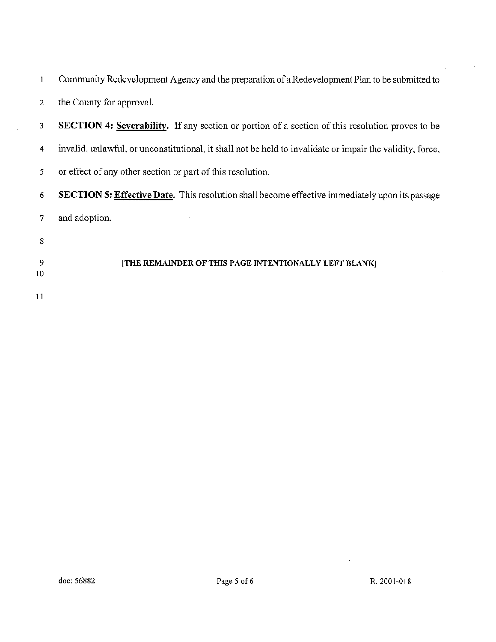| $\mathbf{I}$ | Community Redevelopment Agency and the preparation of a Redevelopment Plan to be submitted to             |
|--------------|-----------------------------------------------------------------------------------------------------------|
| 2            | the County for approval.                                                                                  |
| 3            | <b>SECTION 4: Severability.</b> If any section or portion of a section of this resolution proves to be    |
| 4            | invalid, unlawful, or unconstitutional, it shall not be held to invalidate or impair the validity, force, |
| 5            | or effect of any other section or part of this resolution.                                                |
| 6            | <b>SECTION 5: Effective Date.</b> This resolution shall become effective immediately upon its passage     |
| 7            | and adoption.                                                                                             |
| 8            |                                                                                                           |
| -9           | [THE REMAINDER OF THIS PAGE INTENTIONALLY LEFT BLANK]                                                     |
| 10           |                                                                                                           |
| 11           |                                                                                                           |

 $\sim$ 

 $\bar{z}$ 

 $\mathcal{L}_{\mathcal{A}}$ 

 $\bar{1}$